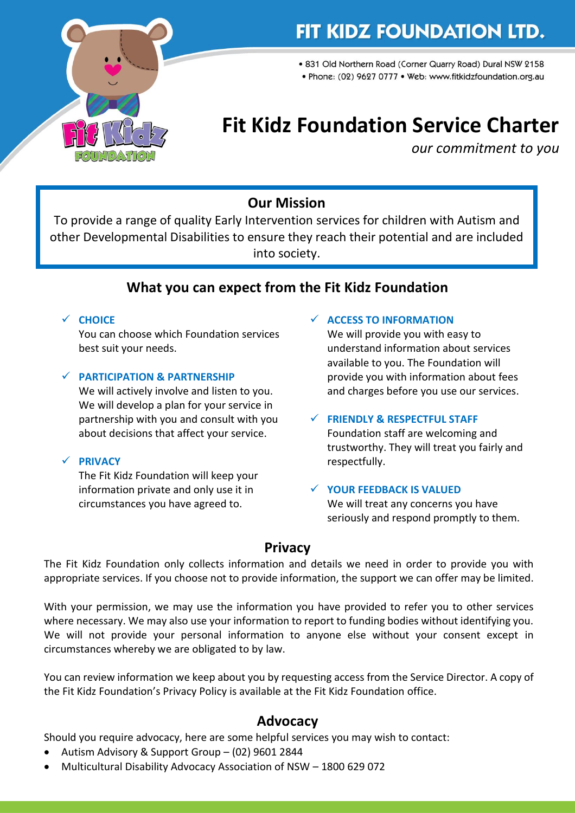

## FIT KIDZ FOUNDATION LTD.

• 831 Old Northern Road (Corner Quarry Road) Dural NSW 2158

· Phone: (02) 9627 0777 · Web: www.fitkidzfoundation.org.au

# **Fit Kidz Foundation Service Charter**

*our commitment to you*

## **Our Mission**

To provide a range of quality Early Intervention services for children with Autism and other Developmental Disabilities to ensure they reach their potential and are included into society.

## **What you can expect from the Fit Kidz Foundation**

#### ✓ **CHOICE**

You can choose which Foundation services best suit your needs.

#### ✓ **PARTICIPATION & PARTNERSHIP**

We will actively involve and listen to you. We will develop a plan for your service in partnership with you and consult with you about decisions that affect your service.

#### ✓ **PRIVACY**

The Fit Kidz Foundation will keep your information private and only use it in circumstances you have agreed to.

#### ✓ **ACCESS TO INFORMATION**

We will provide you with easy to understand information about services available to you. The Foundation will provide you with information about fees and charges before you use our services.

#### ✓ **FRIENDLY & RESPECTFUL STAFF**

Foundation staff are welcoming and trustworthy. They will treat you fairly and respectfully.

#### ✓ **YOUR FEEDBACK IS VALUED** We will treat any concerns you have seriously and respond promptly to them.

### **Privacy**

The Fit Kidz Foundation only collects information and details we need in order to provide you with appropriate services. If you choose not to provide information, the support we can offer may be limited.

With your permission, we may use the information you have provided to refer you to other services where necessary. We may also use your information to report to funding bodies without identifying you. We will not provide your personal information to anyone else without your consent except in circumstances whereby we are obligated to by law.

You can review information we keep about you by requesting access from the Service Director. A copy of the Fit Kidz Foundation's Privacy Policy is available at the Fit Kidz Foundation office.

### **Advocacy**

Should you require advocacy, here are some helpful services you may wish to contact:

- Autism Advisory & Support Group (02) 9601 2844
- Multicultural Disability Advocacy Association of NSW 1800 629 072